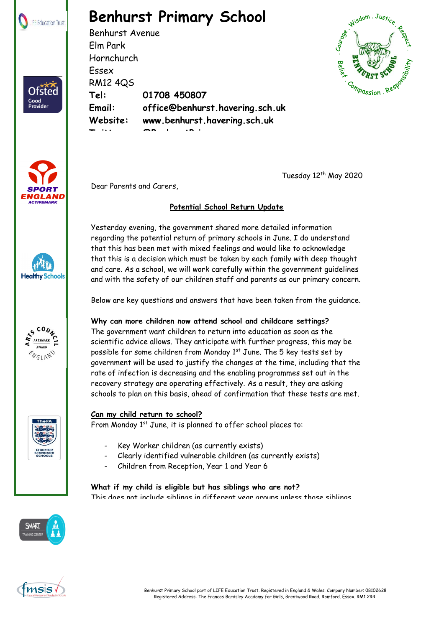

Ofsted Good<br>Provider

# **Benhurst Primary School**

Benhurst Avenue Elm Park Hornchurch Essex RM12 4QS **Tel: 01708 450807 Email: office@benhurst.havering.sch.uk Website: www.benhurst.havering.sch.uk Twitter: @BenhurstPrimary**









TheFA



Tuesday 12<sup>th</sup> May 2020

### **Potential School Return Update**

Yesterday evening, the government shared more detailed information regarding the potential return of primary schools in June. I do understand that this has been met with mixed feelings and would like to acknowledge that this is a decision which must be taken by each family with deep thought and care. As a school, we will work carefully within the government guidelines and with the safety of our children staff and parents as our primary concern.

Below are key questions and answers that have been taken from the guidance.

#### **Why can more children now attend school and childcare settings?**

The government want children to return into education as soon as the scientific advice allows. They anticipate with further progress, this may be possible for some children from Monday  $1<sup>st</sup>$  June. The 5 key tests set by government will be used to justify the changes at the time, including that the rate of infection is decreasing and the enabling programmes set out in the recovery strategy are operating effectively. As a result, they are asking schools to plan on this basis, ahead of confirmation that these tests are met.

#### **Can my child return to school?**

From Monday 1<sup>st</sup> June, it is planned to offer school places to:

- Key Worker children (as currently exists)
- Clearly identified vulnerable children (as currently exists)
- Children from Reception, Year 1 and Year 6

#### **What if my child is eligible but has siblings who are not?**

This does not include siblings in different year groups unless those siblings



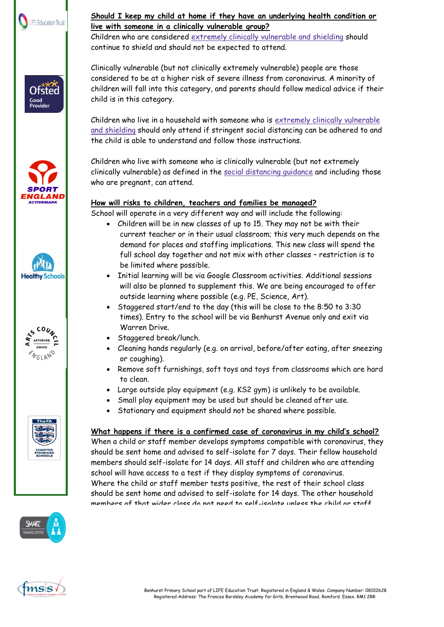











#### **Should I keep my child at home if they have an underlying health condition or live with someone in a clinically vulnerable group?**

Children who are considered extremely clinically [vulnerable](https://www.gov.uk/government/publications/guidance-on-shielding-and-protecting-extremely-vulnerable-persons-from-covid-19/guidance-on-shielding-and-protecting-extremely-vulnerable-persons-from-covid-19) and shielding should continue to shield and should not be expected to attend.

Clinically vulnerable (but not clinically extremely vulnerable) people are those considered to be at a higher risk of severe illness from coronavirus. A minority of children will fall into this category, and parents should follow medical advice if their child is in this category.

Children who live in a household with someone who is extremely clinically [vulnerable](https://www.gov.uk/government/publications/guidance-on-shielding-and-protecting-extremely-vulnerable-persons-from-covid-19/guidance-on-shielding-and-protecting-extremely-vulnerable-persons-from-covid-19) and [shielding](https://www.gov.uk/government/publications/guidance-on-shielding-and-protecting-extremely-vulnerable-persons-from-covid-19/guidance-on-shielding-and-protecting-extremely-vulnerable-persons-from-covid-19) should only attend if stringent social distancing can be adhered to and the child is able to understand and follow those instructions.

Children who live with someone who is clinically vulnerable (but not extremely clinically vulnerable) as defined in the social [distancing](https://www.gov.uk/government/publications/full-guidance-on-staying-at-home-and-away-from-others/full-guidance-on-staying-at-home-and-away-from-others) guidance and including those who are pregnant, can attend.

## **How will risks to children, teachers and families be managed?**

School will operate in a very different way and will include the following:

- Children will be in new classes of up to 15. They may not be with their current teacher or in their usual classroom; this very much depends on the demand for places and staffing implications. This new class will spend the full school day together and not mix with other classes – restriction is to be limited where possible.
- Initial learning will be via Google Classroom activities. Additional sessions will also be planned to supplement this. We are being encouraged to offer outside learning where possible (e.g. PE, Science, Art).
- Staggered start/end to the day (this will be close to the 8:50 to 3:30 times). Entry to the school will be via Benhurst Avenue only and exit via Warren Drive.
- Staggered break/lunch.
- Cleaning hands regularly (e.g. on arrival, before/after eating, after sneezing or coughing).
- Remove soft furnishings, soft toys and toys from classrooms which are hard to clean.
- Large outside play equipment (e.g. KS2 gym) is unlikely to be available.
- Small play equipment may be used but should be cleaned after use.
- Stationary and equipment should not be shared where possible.

## **What happens if there is a confirmed case of coronavirus in my child's school?**

When a child or staff member develops symptoms compatible with coronavirus, they should be sent home and advised to self-isolate for 7 days. Their fellow household members should self-isolate for 14 days. All staff and children who are attending school will have access to a test if they display symptoms of coronavirus. Where the child or staff member tests positive, the rest of their school class should be sent home and advised to self-isolate for 14 days. The other household members of that wider class do not need to self-isolate unless the child or staff